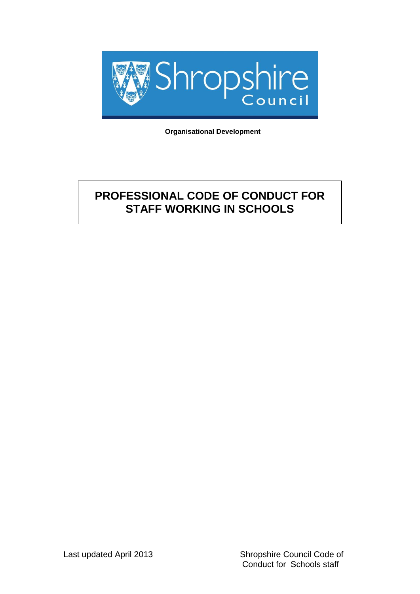

 **Organisational Development**

# **PROFESSIONAL CODE OF CONDUCT FOR STAFF WORKING IN SCHOOLS**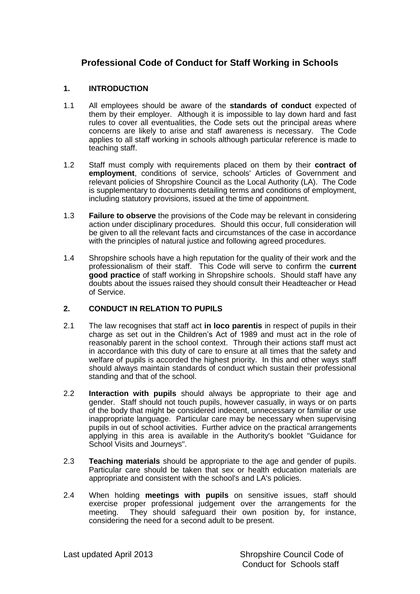# **Professional Code of Conduct for Staff Working in Schools**

#### **1. INTRODUCTION**

- 1.1 All employees should be aware of the **standards of conduct** expected of them by their employer. Although it is impossible to lay down hard and fast rules to cover all eventualities, the Code sets out the principal areas where concerns are likely to arise and staff awareness is necessary. The Code applies to all staff working in schools although particular reference is made to teaching staff.
- 1.2 Staff must comply with requirements placed on them by their **contract of employment**, conditions of service, schools' Articles of Government and relevant policies of Shropshire Council as the Local Authority (LA). The Code is supplementary to documents detailing terms and conditions of employment, including statutory provisions, issued at the time of appointment.
- 1.3 **Failure to observe** the provisions of the Code may be relevant in considering action under disciplinary procedures. Should this occur, full consideration will be given to all the relevant facts and circumstances of the case in accordance with the principles of natural justice and following agreed procedures.
- 1.4 Shropshire schools have a high reputation for the quality of their work and the professionalism of their staff. This Code will serve to confirm the **current good practice** of staff working in Shropshire schools. Should staff have any doubts about the issues raised they should consult their Headteacher or Head of Service.

## **2. CONDUCT IN RELATION TO PUPILS**

- 2.1 The law recognises that staff act **in loco parentis** in respect of pupils in their charge as set out in the Children's Act of 1989 and must act in the role of reasonably parent in the school context. Through their actions staff must act in accordance with this duty of care to ensure at all times that the safety and welfare of pupils is accorded the highest priority. In this and other ways staff should always maintain standards of conduct which sustain their professional standing and that of the school.
- 2.2 **Interaction with pupils** should always be appropriate to their age and gender. Staff should not touch pupils, however casually, in ways or on parts of the body that might be considered indecent, unnecessary or familiar or use inappropriate language. Particular care may be necessary when supervising pupils in out of school activities. Further advice on the practical arrangements applying in this area is available in the Authority's booklet "Guidance for School Visits and Journeys".
- 2.3 **Teaching materials** should be appropriate to the age and gender of pupils. Particular care should be taken that sex or health education materials are appropriate and consistent with the school's and LA's policies.
- 2.4 When holding **meetings with pupils** on sensitive issues, staff should exercise proper professional judgement over the arrangements for the meeting. They should safeguard their own position by, for instance, considering the need for a second adult to be present.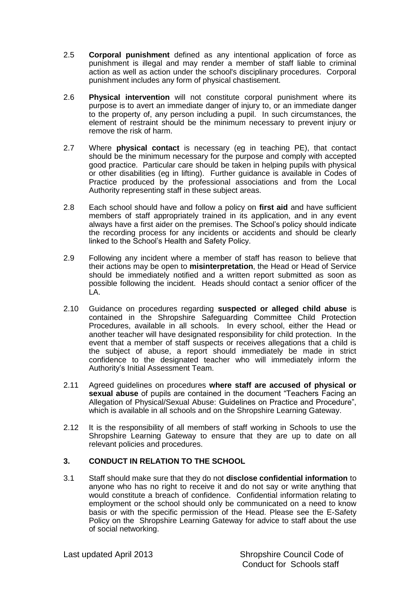- 2.5 **Corporal punishment** defined as any intentional application of force as punishment is illegal and may render a member of staff liable to criminal action as well as action under the school's disciplinary procedures. Corporal punishment includes any form of physical chastisement.
- 2.6 **Physical intervention** will not constitute corporal punishment where its purpose is to avert an immediate danger of injury to, or an immediate danger to the property of, any person including a pupil. In such circumstances, the element of restraint should be the minimum necessary to prevent injury or remove the risk of harm.
- 2.7 Where **physical contact** is necessary (eg in teaching PE), that contact should be the minimum necessary for the purpose and comply with accepted good practice. Particular care should be taken in helping pupils with physical or other disabilities (eg in lifting). Further guidance is available in Codes of Practice produced by the professional associations and from the Local Authority representing staff in these subject areas.
- 2.8 Each school should have and follow a policy on **first aid** and have sufficient members of staff appropriately trained in its application, and in any event always have a first aider on the premises. The School's policy should indicate the recording process for any incidents or accidents and should be clearly linked to the School's Health and Safety Policy.
- 2.9 Following any incident where a member of staff has reason to believe that their actions may be open to **misinterpretation**, the Head or Head of Service should be immediately notified and a written report submitted as soon as possible following the incident. Heads should contact a senior officer of the LA.
- 2.10 Guidance on procedures regarding **suspected or alleged child abuse** is contained in the Shropshire Safeguarding Committee Child Protection Procedures, available in all schools. In every school, either the Head or another teacher will have designated responsibility for child protection. In the event that a member of staff suspects or receives allegations that a child is the subject of abuse, a report should immediately be made in strict confidence to the designated teacher who will immediately inform the Authority's Initial Assessment Team.
- 2.11 Agreed guidelines on procedures **where staff are accused of physical or sexual abuse** of pupils are contained in the document "Teachers Facing an Allegation of Physical/Sexual Abuse: Guidelines on Practice and Procedure", which is available in all schools and on the Shropshire Learning Gateway.
- 2.12 It is the responsibility of all members of staff working in Schools to use the Shropshire Learning Gateway to ensure that they are up to date on all relevant policies and procedures.

## **3. CONDUCT IN RELATION TO THE SCHOOL**

3.1 Staff should make sure that they do not **disclose confidential information** to anyone who has no right to receive it and do not say or write anything that would constitute a breach of confidence. Confidential information relating to employment or the school should only be communicated on a need to know basis or with the specific permission of the Head. Please see the E-Safety Policy on the Shropshire Learning Gateway for advice to staff about the use of social networking.